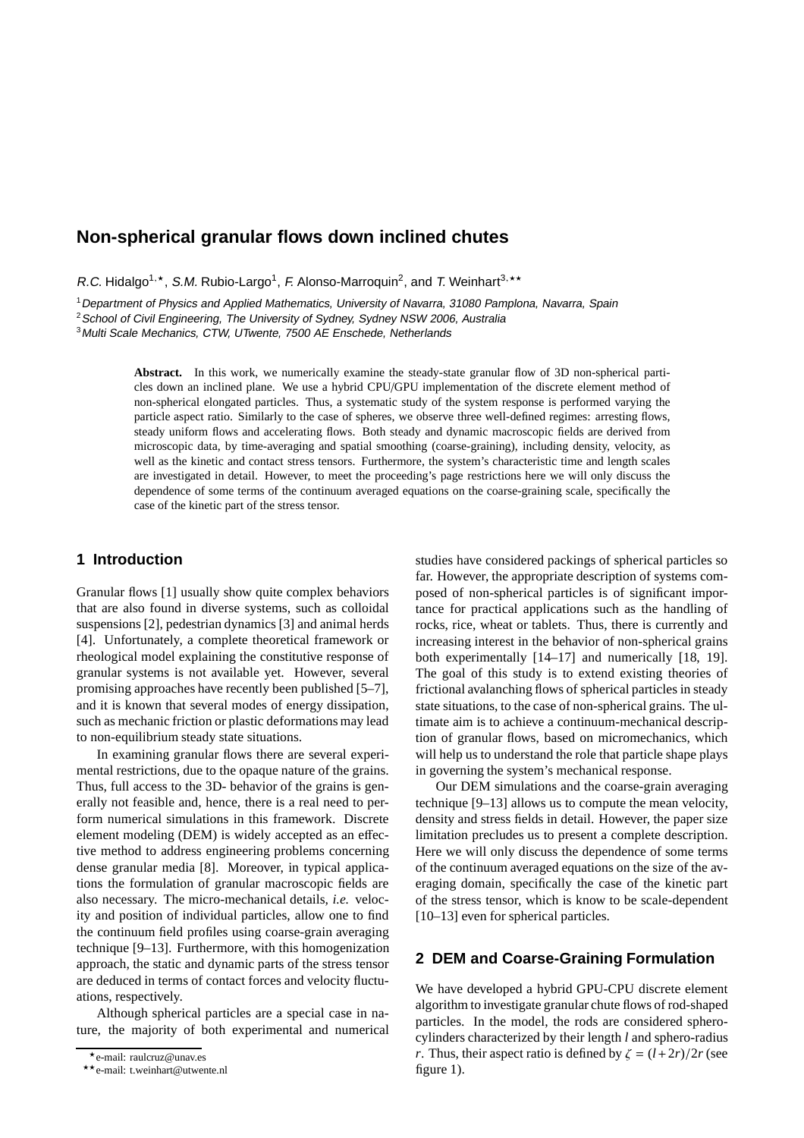# **Non-spherical granular flows down inclined chutes**

R.C. Hidalgo<sup>1,\*</sup>, S.M. Rubio-Largo<sup>1</sup>, F. Alonso-Marroquin<sup>2</sup>, and T. Weinhart<sup>3,\*\*</sup>

<sup>1</sup>Department of Physics and Applied Mathematics, University of Navarra, <sup>31080</sup> Pamplona, Navarra, Spain

<sup>2</sup> School of Civil Engineering, The University of Sydney, Sydney NSW 2006, Australia

<sup>3</sup>Multi Scale Mechanics, CTW, UTwente, <sup>7500</sup> AE Enschede, Netherlands

**Abstract.** In this work, we numerically examine the steady-state granular flow of 3D non-spherical particles down an inclined plane. We use a hybrid CPU/GPU implementation of the discrete element method of non-spherical elongated particles. Thus, a systematic study of the system response is performed varying the particle aspect ratio. Similarly to the case of spheres, we observe three well-defined regimes: arresting flows, steady uniform flows and accelerating flows. Both steady and dynamic macroscopic fields are derived from microscopic data, by time-averaging and spatial smoothing (coarse-graining), including density, velocity, as well as the kinetic and contact stress tensors. Furthermore, the system's characteristic time and length scales are investigated in detail. However, to meet the proceeding's page restrictions here we will only discuss the dependence of some terms of the continuum averaged equations on the coarse-graining scale, specifically the case of the kinetic part of the stress tensor.

## **1 Introduction**

Granular flows [1] usually show quite complex behaviors that are also found in diverse systems, such as colloidal suspensions [2], pedestrian dynamics [3] and animal herds [4]. Unfortunately, a complete theoretical framework or rheological model explaining the constitutive response of granular systems is not available yet. However, several promising approaches have recently been published [5–7], and it is known that several modes of energy dissipation, such as mechanic friction or plastic deformations may lead to non-equilibrium steady state situations.

In examining granular flows there are several experimental restrictions, due to the opaque nature of the grains. Thus, full access to the 3D- behavior of the grains is generally not feasible and, hence, there is a real need to perform numerical simulations in this framework. Discrete element modeling (DEM) is widely accepted as an effective method to address engineering problems concerning dense granular media [8]. Moreover, in typical applications the formulation of granular macroscopic fields are also necessary. The micro-mechanical details, *i.e.* velocity and position of individual particles, allow one to find the continuum field profiles using coarse-grain averaging technique [9–13]. Furthermore, with this homogenization approach, the static and dynamic parts of the stress tensor are deduced in terms of contact forces and velocity fluctuations, respectively.

Although spherical particles are a special case in nature, the majority of both experimental and numerical studies have considered packings of spherical particles so far. However, the appropriate description of systems composed of non-spherical particles is of significant importance for practical applications such as the handling of rocks, rice, wheat or tablets. Thus, there is currently and increasing interest in the behavior of non-spherical grains both experimentally [14–17] and numerically [18, 19]. The goal of this study is to extend existing theories of frictional avalanching flows of spherical particles in steady state situations, to the case of non-spherical grains. The ultimate aim is to achieve a continuum-mechanical description of granular flows, based on micromechanics, which will help us to understand the role that particle shape plays in governing the system's mechanical response.

Our DEM simulations and the coarse-grain averaging technique [9–13] allows us to compute the mean velocity, density and stress fields in detail. However, the paper size limitation precludes us to present a complete description. Here we will only discuss the dependence of some terms of the continuum averaged equations on the size of the averaging domain, specifically the case of the kinetic part of the stress tensor, which is know to be scale-dependent [10–13] even for spherical particles.

## **2 DEM and Coarse-Graining Formulation**

We have developed a hybrid GPU-CPU discrete element algorithm to investigate granular chute flows of rod-shaped particles. In the model, the rods are considered spherocylinders characterized by their length *l* and sphero-radius *r*. Thus, their aspect ratio is defined by  $\zeta = (l+2r)/2r$  (see figure 1).

<sup>⋆</sup>e-mail: raulcruz@unav.es

<sup>⋆⋆</sup>e-mail: t.weinhart@utwente.nl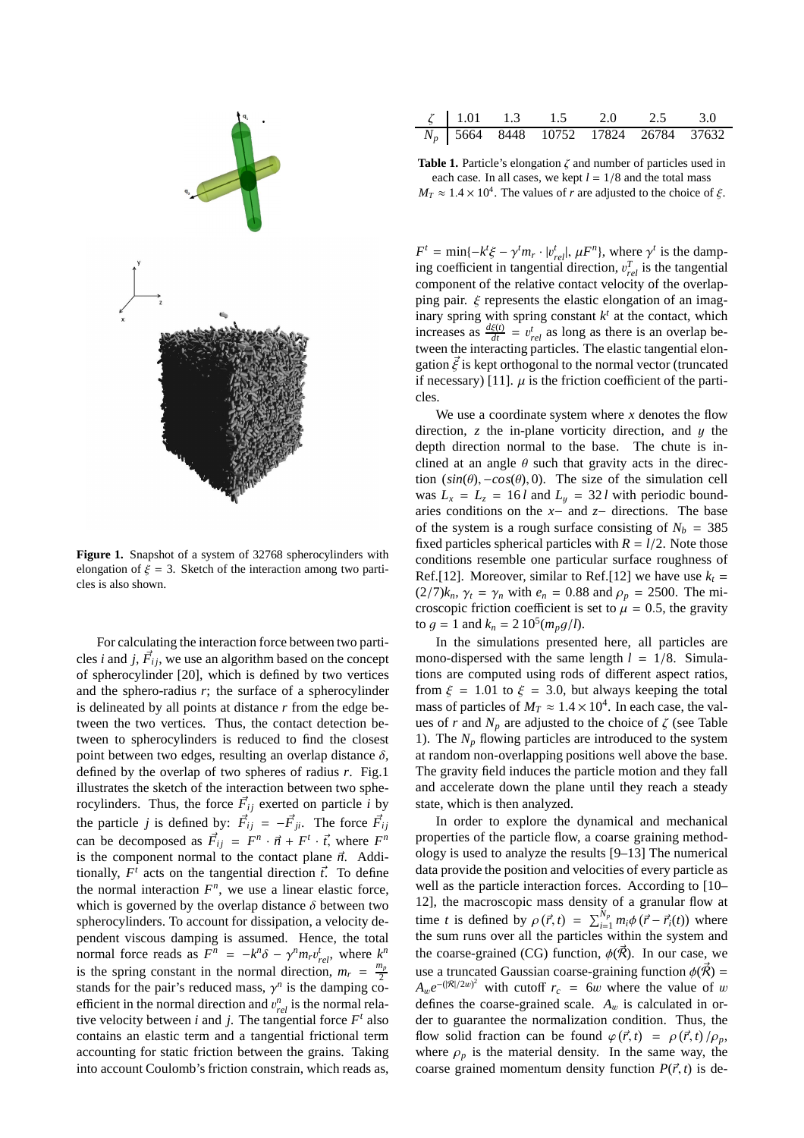

**Figure 1.** Snapshot of a system of 32768 spherocylinders with elongation of  $\xi = 3$ . Sketch of the interaction among two particles is also shown.

For calculating the interaction force between two particles *i* and *j*,  $\vec{F}_{ij}$ , we use an algorithm based on the concept of spherocylinder [20], which is defined by two vertices and the sphero-radius *r*; the surface of a spherocylinder is delineated by all points at distance *r* from the edge between the two vertices. Thus, the contact detection between to spherocylinders is reduced to find the closest point between two edges, resulting an overlap distance  $\delta$ , defined by the overlap of two spheres of radius *r*. Fig.1 illustrates the sketch of the interaction between two spherocylinders. Thus, the force  $\vec{F}_{ij}$  exerted on particle *i* by the particle *j* is defined by:  $\vec{F}_{ij} = -\vec{F}_{ji}$ . The force  $\vec{F}_{ij}$ can be decomposed as  $\vec{F}_{ij} = F^n \cdot \vec{n} + F^i \cdot \vec{t}$ , where  $F^n$ is the component normal to the contact plane  $\vec{n}$ . Additionally,  $F^t$  acts on the tangential direction  $\vec{t}$ . To define the normal interaction  $F<sup>n</sup>$ , we use a linear elastic force, which is governed by the overlap distance  $\delta$  between two spherocylinders. To account for dissipation, a velocity dependent viscous damping is assumed. Hence, the total normal force reads as  $F^n = -k^n \delta - \gamma^n m_r v_{rel}^t$ , where  $k^n$ is the spring constant in the normal direction,  $m_r = \frac{m_p}{2}$ 2 stands for the pair's reduced mass,  $\gamma^n$  is the damping coefficient in the normal direction and  $v_{rel}^n$  is the normal relative velocity between *i* and *j*. The tangential force  $F<sup>t</sup>$  also contains an elastic term and a tangential frictional term accounting for static friction between the grains. Taking into account Coulomb's friction constrain, which reads as,

|  | $\zeta$   1.01 1.3 1.5 2.0 2.5 3.0      |  |  |
|--|-----------------------------------------|--|--|
|  | $N_p$ 5664 8448 10752 17824 26784 37632 |  |  |

**Table 1.** Particle's elongation ζ and number of particles used in each case. In all cases, we kept  $l = 1/8$  and the total mass  $M_T \approx 1.4 \times 10^4$ . The values of *r* are adjusted to the choice of  $\xi$ .

 $F^t = \min\{-k^t \xi - \gamma^t m_r \cdot |v_{rel}^t|, \mu F^n\}$ , where  $\gamma^t$  is the damping coefficient in tangential direction,  $v_{rel}^T$  is the tangential component of the relative contact velocity of the overlapping pair.  $\xi$  represents the elastic elongation of an imaginary spring with spring constant  $k<sup>t</sup>$  at the contact, which increases as  $\frac{d\xi(t)}{dt} = v_{rel}^t$  as long as there is an overlap between the interacting particles. The elastic tangential elongation  $\vec{\xi}$  is kept orthogonal to the normal vector (truncated if necessary) [11].  $\mu$  is the friction coefficient of the particles.

We use a coordinate system where  $x$  denotes the flow direction,  $\zeta$  the in-plane vorticity direction, and  $\eta$  the depth direction normal to the base. The chute is inclined at an angle  $\theta$  such that gravity acts in the direction  $(sin(\theta), -cos(\theta), 0)$ . The size of the simulation cell was  $L_x = L_z = 16 l$  and  $L_y = 32 l$  with periodic boundaries conditions on the *x*− and *z*− directions. The base of the system is a rough surface consisting of  $N_b = 385$ fixed particles spherical particles with  $R = l/2$ . Note those conditions resemble one particular surface roughness of Ref.[12]. Moreover, similar to Ref.[12] we have use  $k_t =$  $(2/7)k_n$ ,  $\gamma_t = \gamma_n$  with  $e_n = 0.88$  and  $\rho_p = 2500$ . The microscopic friction coefficient is set to  $\mu = 0.5$ , the gravity to  $g = 1$  and  $k_n = 2 \cdot 10^5 (m_p g/l)$ .

In the simulations presented here, all particles are mono-dispersed with the same length  $l = 1/8$ . Simulations are computed using rods of different aspect ratios, from  $\xi = 1.01$  to  $\xi = 3.0$ , but always keeping the total mass of particles of  $M_T \approx 1.4 \times 10^4$ . In each case, the values of *r* and  $N_p$  are adjusted to the choice of  $\zeta$  (see Table 1). The  $N_p$  flowing particles are introduced to the system at random non-overlapping positions well above the base. The gravity field induces the particle motion and they fall and accelerate down the plane until they reach a steady state, which is then analyzed.

In order to explore the dynamical and mechanical properties of the particle flow, a coarse graining methodology is used to analyze the results [9–13] The numerical data provide the position and velocities of every particle as well as the particle interaction forces. According to [10– 12], the macroscopic mass density of a granular flow at time *t* is defined by  $\rho(\vec{r}, t) = \sum_{i=1}^{N_p} m_i \phi(\vec{r} - \vec{r}_i(t))$  where the sum runs over all the particles within the system and the coarse-grained (CG) function,  $\phi(\vec{R})$ . In our case, we use a truncated Gaussian coarse-graining function  $\phi(\vec{\mathcal{R}})$  =  $A_w e^{-(|\mathcal{R}|/2w)^2}$  with cutoff  $r_c = 6w$  where the value of w defines the coarse-grained scale.  $A_w$  is calculated in order to guarantee the normalization condition. Thus, the flow solid fraction can be found  $\varphi(\vec{r}, t) = \rho(\vec{r}, t)/\rho_p$ , where  $\rho_p$  is the material density. In the same way, the coarse grained momentum density function  $P(\vec{r}, t)$  is de-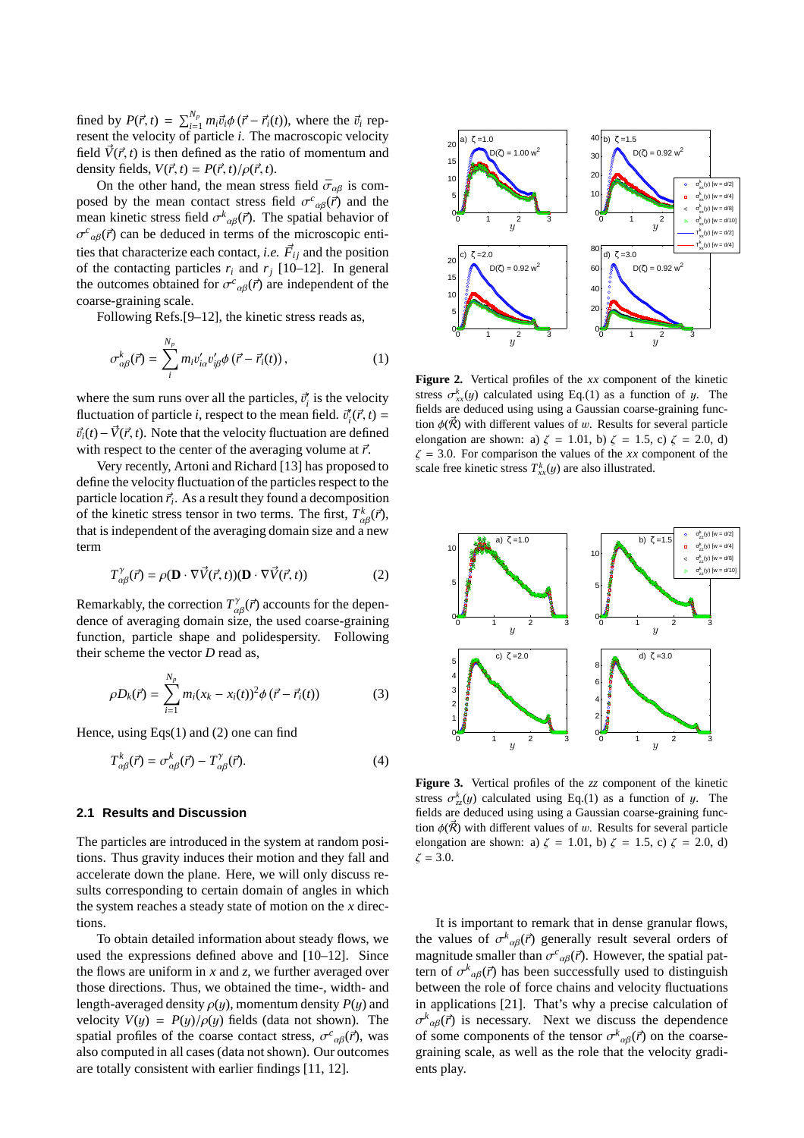fined by  $P(\vec{r}, t) = \sum_{i=1}^{N_p} m_i \vec{v}_i \phi(\vec{r} - \vec{r}_i(t))$ , where the  $\vec{v}_i$  represent the velocity of particle *i*. The macroscopic velocity field  $\vec{V}(\vec{r}, t)$  is then defined as the ratio of momentum and density fields,  $V(\vec{r}, t) = P(\vec{r}, t)/\rho(\vec{r}, t)$ .

On the other hand, the mean stress field  $\bar{\sigma}_{\alpha\beta}$  is composed by the mean contact stress field  $\sigma^c{}_{\alpha\beta}(\vec{r})$  and the mean kinetic stress field  $\sigma_{\alpha\beta}^k(\vec{r})$ . The spatial behavior of  $\sigma_{\alpha\beta}(\vec{r})$  can be deduced in terms of the microscopic entities that characterize each contact, *i.e.*  $\vec{F}_{ij}$  and the position of the contacting particles  $r_i$  and  $r_j$  [10–12]. In general the outcomes obtained for  $\sigma^c_{\alpha\beta}(\vec{r})$  are independent of the coarse-graining scale.

Following Refs.[9–12], the kinetic stress reads as,

$$
\sigma_{\alpha\beta}^k(\vec{r}) = \sum_i^{N_p} m_i v_{i\alpha}' v_{i\beta}' \phi\left(\vec{r} - \vec{r}_i(t)\right),\tag{1}
$$

where the sum runs over all the particles,  $\vec{v}_i$  is the velocity fluctuation of particle *i*, respect to the mean field.  $\vec{v}_i^r(\vec{r}, t) =$  $\vec{v}_i(t) - \vec{V}(\vec{r}, t)$ . Note that the velocity fluctuation are defined with respect to the center of the averaging volume at  $\vec{r}$ .

Very recently, Artoni and Richard [13] has proposed to define the velocity fluctuation of the particles respect to the particle location  $\vec{r}_i$ . As a result they found a decomposition of the kinetic stress tensor in two terms. The first,  $T_{\alpha\beta}^k(\vec{r})$ , that is independent of the averaging domain size and a new term

$$
T^{\gamma}_{\alpha\beta}(\vec{r}) = \rho(\mathbf{D} \cdot \nabla \vec{V}(\vec{r}, t))(\mathbf{D} \cdot \nabla \vec{V}(\vec{r}, t))
$$
 (2)

Remarkably, the correction  $T^{\gamma}_{\alpha\beta}(\vec{r})$  accounts for the dependence of averaging domain size, the used coarse-graining function, particle shape and polidespersity. Following their scheme the vector *D* read as,

$$
\rho D_k(\vec{r}) = \sum_{i=1}^{N_p} m_i (x_k - x_i(t))^2 \phi(\vec{r} - \vec{r}_i(t)) \tag{3}
$$

Hence, using Eqs(1) and (2) one can find

$$
T_{\alpha\beta}^k(\vec{r}) = \sigma_{\alpha\beta}^k(\vec{r}) - T_{\alpha\beta}^\gamma(\vec{r}).
$$
\n(4)

#### **2.1 Results and Discussion**

The particles are introduced in the system at random positions. Thus gravity induces their motion and they fall and accelerate down the plane. Here, we will only discuss results corresponding to certain domain of angles in which the system reaches a steady state of motion on the *x* directions.

To obtain detailed information about steady flows, we used the expressions defined above and [10–12]. Since the flows are uniform in *x* and *z*, we further averaged over those directions. Thus, we obtained the time-, width- and length-averaged density  $\rho(y)$ , momentum density  $P(y)$  and velocity  $V(y) = P(y)/\rho(y)$  fields (data not shown). The spatial profiles of the coarse contact stress,  $\sigma^c{}_{\alpha\beta}(\vec{r})$ , was also computed in all cases (data not shown). Our outcomes are totally consistent with earlier findings [11, 12].



**Figure 2.** Vertical profiles of the *xx* component of the kinetic stress  $\sigma_{xx}^{k}(y)$  calculated using Eq.(1) as a function of y. The fields are deduced using using a Gaussian coarse-graining function  $\phi(\vec{\mathcal{R}})$  with different values of w. Results for several particle elongation are shown: a)  $\zeta = 1.01$ , b)  $\zeta = 1.5$ , c)  $\zeta = 2.0$ , d)  $\zeta = 3.0$ . For comparison the values of the *xx* component of the scale free kinetic stress  $T_{xx}^k(y)$  are also illustrated.



**Figure 3.** Vertical profiles of the *zz* component of the kinetic stress  $\sigma_{zz}^k(y)$  calculated using Eq.(1) as a function of y. The fields are deduced using using a Gaussian coarse-graining function  $\phi(\vec{R})$  with different values of w. Results for several particle elongation are shown: a)  $\zeta = 1.01$ , b)  $\zeta = 1.5$ , c)  $\zeta = 2.0$ , d)  $\zeta = 3.0.$ 

It is important to remark that in dense granular flows, the values of  $\sigma^k{}_{\alpha\beta}(\vec{r})$  generally result several orders of magnitude smaller than  $\sigma^c{}_{\alpha\beta}(\vec{r})$ . However, the spatial pattern of  $\sigma^k_{\alpha\beta}(\vec{r})$  has been successfully used to distinguish between the role of force chains and velocity fluctuations in applications [21]. That's why a precise calculation of  $\sigma_{\alpha\beta}^k(\vec{r})$  is necessary. Next we discuss the dependence of some components of the tensor  $\sigma_{\alpha\beta}^k(\vec{r})$  on the coarsegraining scale, as well as the role that the velocity gradients play.